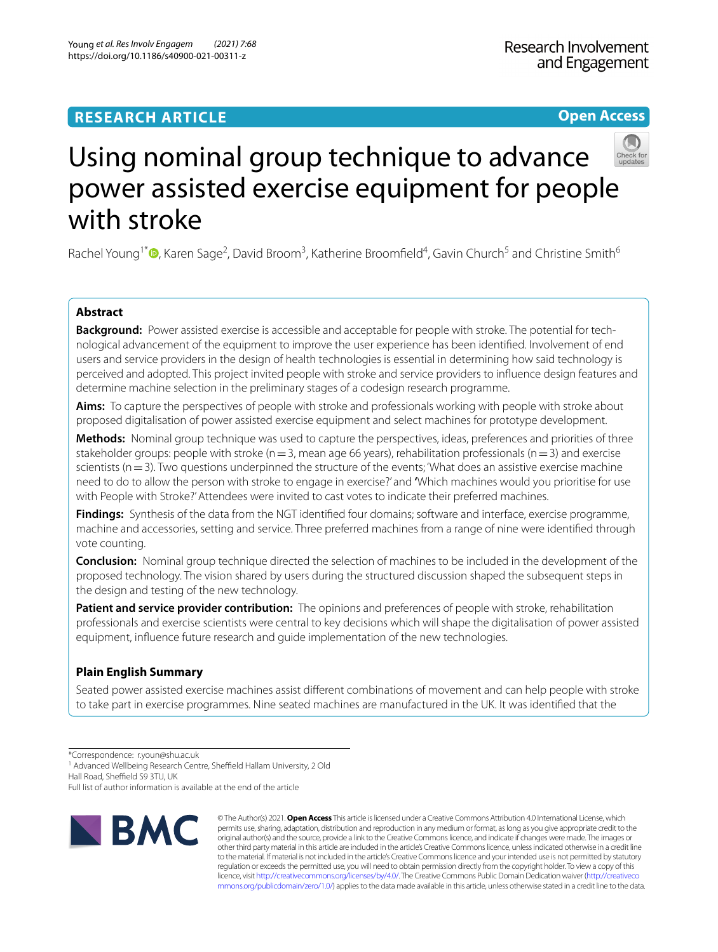# **Open Access**



# Using nominal group technique to advance power assisted exercise equipment for people with stroke

Rachel Young<sup>1\*</sup><sup>®</sup>[,](http://orcid.org/0000-0002-1217-8389) Karen Sage<sup>2</sup>, David Broom<sup>3</sup>, Katherine Broomfield<sup>4</sup>, Gavin Church<sup>5</sup> and Christine Smith<sup>6</sup>

# **Abstract**

**Background:** Power assisted exercise is accessible and acceptable for people with stroke. The potential for technological advancement of the equipment to improve the user experience has been identifed. Involvement of end users and service providers in the design of health technologies is essential in determining how said technology is perceived and adopted. This project invited people with stroke and service providers to infuence design features and determine machine selection in the preliminary stages of a codesign research programme.

**Aims:** To capture the perspectives of people with stroke and professionals working with people with stroke about proposed digitalisation of power assisted exercise equipment and select machines for prototype development.

**Methods:** Nominal group technique was used to capture the perspectives, ideas, preferences and priorities of three stakeholder groups: people with stroke ( $n=3$ , mean age 66 years), rehabilitation professionals ( $n=3$ ) and exercise scientists ( $n=3$ ). Two questions underpinned the structure of the events; 'What does an assistive exercise machine need to do to allow the person with stroke to engage in exercise?' and **'**Which machines would you prioritise for use with People with Stroke?' Attendees were invited to cast votes to indicate their preferred machines.

**Findings:** Synthesis of the data from the NGT identifed four domains; software and interface, exercise programme, machine and accessories, setting and service. Three preferred machines from a range of nine were identifed through vote counting.

**Conclusion:** Nominal group technique directed the selection of machines to be included in the development of the proposed technology. The vision shared by users during the structured discussion shaped the subsequent steps in the design and testing of the new technology.

**Patient and service provider contribution:** The opinions and preferences of people with stroke, rehabilitation professionals and exercise scientists were central to key decisions which will shape the digitalisation of power assisted equipment, infuence future research and guide implementation of the new technologies.

# **Plain English Summary**

Seated power assisted exercise machines assist diferent combinations of movement and can help people with stroke to take part in exercise programmes. Nine seated machines are manufactured in the UK. It was identifed that the

\*Correspondence: r.youn@shu.ac.uk

<sup>1</sup> Advanced Wellbeing Research Centre, Sheffield Hallam University, 2 Old

Hall Road, Sheffield S9 3TU, UK

Full list of author information is available at the end of the article



© The Author(s) 2021. **Open Access** This article is licensed under a Creative Commons Attribution 4.0 International License, which permits use, sharing, adaptation, distribution and reproduction in any medium or format, as long as you give appropriate credit to the original author(s) and the source, provide a link to the Creative Commons licence, and indicate if changes were made. The images or other third party material in this article are included in the article's Creative Commons licence, unless indicated otherwise in a credit line to the material. If material is not included in the article's Creative Commons licence and your intended use is not permitted by statutory regulation or exceeds the permitted use, you will need to obtain permission directly from the copyright holder. To view a copy of this licence, visit [http://creativecommons.org/licenses/by/4.0/.](http://creativecommons.org/licenses/by/4.0/) The Creative Commons Public Domain Dedication waiver ([http://creativeco](http://creativecommons.org/publicdomain/zero/1.0/) [mmons.org/publicdomain/zero/1.0/](http://creativecommons.org/publicdomain/zero/1.0/)) applies to the data made available in this article, unless otherwise stated in a credit line to the data.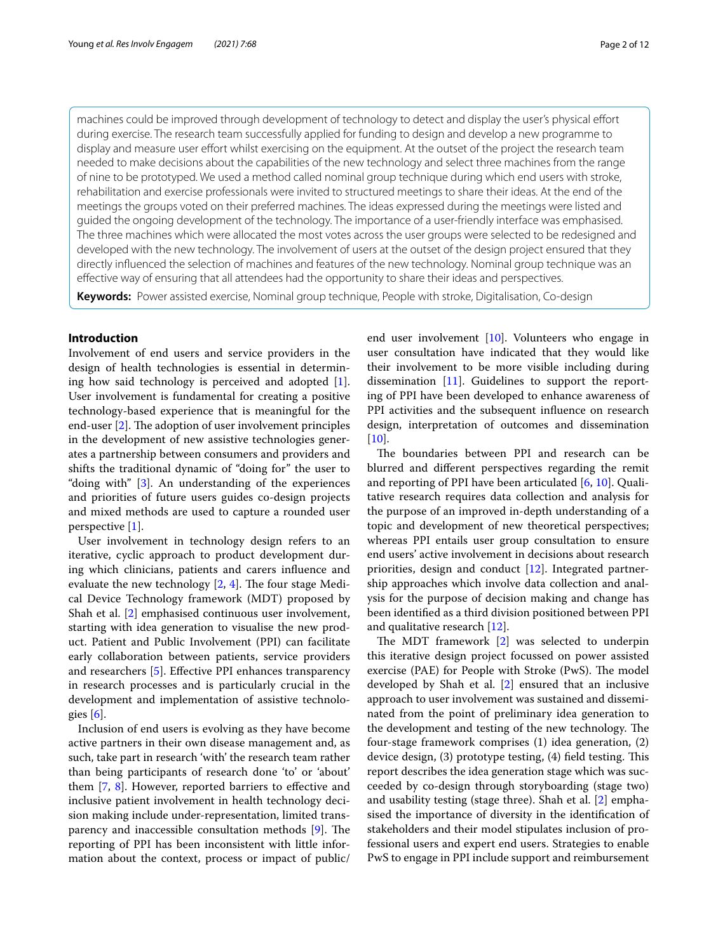machines could be improved through development of technology to detect and display the user's physical efort during exercise. The research team successfully applied for funding to design and develop a new programme to display and measure user effort whilst exercising on the equipment. At the outset of the project the research team needed to make decisions about the capabilities of the new technology and select three machines from the range of nine to be prototyped. We used a method called nominal group technique during which end users with stroke, rehabilitation and exercise professionals were invited to structured meetings to share their ideas. At the end of the meetings the groups voted on their preferred machines. The ideas expressed during the meetings were listed and guided the ongoing development of the technology. The importance of a user-friendly interface was emphasised. The three machines which were allocated the most votes across the user groups were selected to be redesigned and developed with the new technology. The involvement of users at the outset of the design project ensured that they directly infuenced the selection of machines and features of the new technology. Nominal group technique was an efective way of ensuring that all attendees had the opportunity to share their ideas and perspectives.

**Keywords:** Power assisted exercise, Nominal group technique, People with stroke, Digitalisation, Co-design

## **Introduction**

Involvement of end users and service providers in the design of health technologies is essential in determining how said technology is perceived and adopted [\[1](#page-10-0)]. User involvement is fundamental for creating a positive technology-based experience that is meaningful for the end-user  $[2]$  $[2]$ . The adoption of user involvement principles in the development of new assistive technologies generates a partnership between consumers and providers and shifts the traditional dynamic of "doing for" the user to "doing with" [[3\]](#page-10-2). An understanding of the experiences and priorities of future users guides co-design projects and mixed methods are used to capture a rounded user perspective [[1\]](#page-10-0).

User involvement in technology design refers to an iterative, cyclic approach to product development during which clinicians, patients and carers infuence and evaluate the new technology  $[2, 4]$  $[2, 4]$  $[2, 4]$  $[2, 4]$ . The four stage Medical Device Technology framework (MDT) proposed by Shah et al. [\[2](#page-10-1)] emphasised continuous user involvement, starting with idea generation to visualise the new product. Patient and Public Involvement (PPI) can facilitate early collaboration between patients, service providers and researchers [[5](#page-10-4)]. Efective PPI enhances transparency in research processes and is particularly crucial in the development and implementation of assistive technologies [[6\]](#page-10-5).

Inclusion of end users is evolving as they have become active partners in their own disease management and, as such, take part in research 'with' the research team rather than being participants of research done 'to' or 'about' them [[7,](#page-10-6) [8](#page-10-7)]. However, reported barriers to effective and inclusive patient involvement in health technology decision making include under-representation, limited transparency and inaccessible consultation methods  $[9]$ . The reporting of PPI has been inconsistent with little information about the context, process or impact of public/ end user involvement [[10\]](#page-10-9). Volunteers who engage in user consultation have indicated that they would like their involvement to be more visible including during dissemination [\[11](#page-10-10)]. Guidelines to support the reporting of PPI have been developed to enhance awareness of PPI activities and the subsequent infuence on research design, interpretation of outcomes and dissemination [[10\]](#page-10-9).

The boundaries between PPI and research can be blurred and diferent perspectives regarding the remit and reporting of PPI have been articulated [[6,](#page-10-5) [10](#page-10-9)]. Qualitative research requires data collection and analysis for the purpose of an improved in-depth understanding of a topic and development of new theoretical perspectives; whereas PPI entails user group consultation to ensure end users' active involvement in decisions about research priorities, design and conduct [\[12\]](#page-10-11). Integrated partnership approaches which involve data collection and analysis for the purpose of decision making and change has been identifed as a third division positioned between PPI and qualitative research [\[12](#page-10-11)].

The MDT framework [[2\]](#page-10-1) was selected to underpin this iterative design project focussed on power assisted exercise (PAE) for People with Stroke (PwS). The model developed by Shah et al. [\[2](#page-10-1)] ensured that an inclusive approach to user involvement was sustained and disseminated from the point of preliminary idea generation to the development and testing of the new technology. The four-stage framework comprises (1) idea generation, (2) device design, (3) prototype testing, (4) field testing. This report describes the idea generation stage which was succeeded by co-design through storyboarding (stage two) and usability testing (stage three). Shah et al. [\[2](#page-10-1)] emphasised the importance of diversity in the identifcation of stakeholders and their model stipulates inclusion of professional users and expert end users. Strategies to enable PwS to engage in PPI include support and reimbursement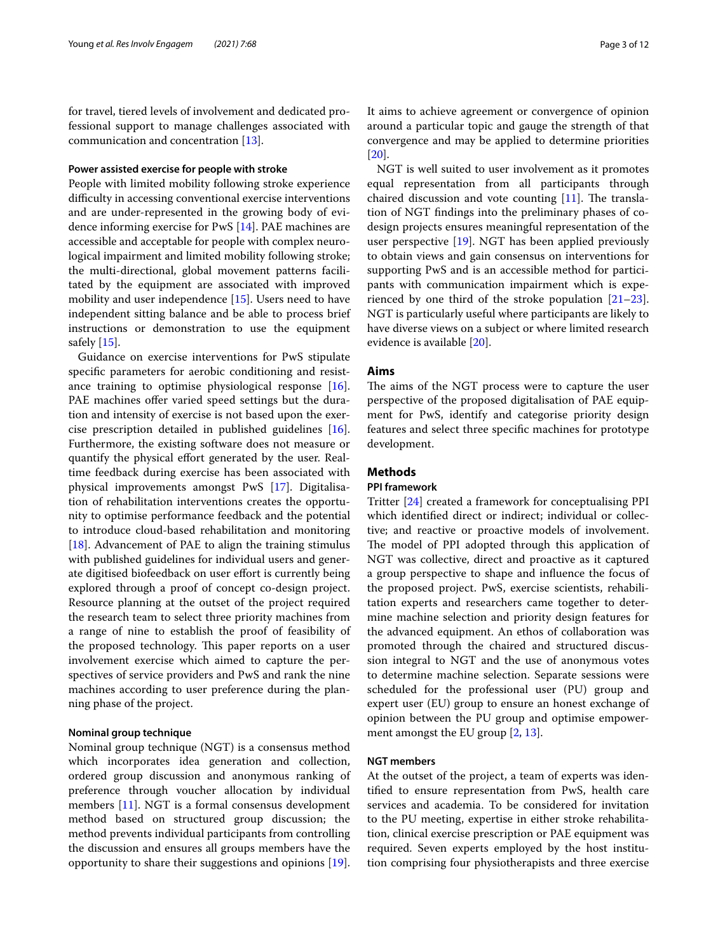for travel, tiered levels of involvement and dedicated professional support to manage challenges associated with communication and concentration [[13\]](#page-10-12).

# **Power assisted exercise for people with stroke**

People with limited mobility following stroke experience difficulty in accessing conventional exercise interventions and are under-represented in the growing body of evidence informing exercise for PwS [\[14\]](#page-10-13). PAE machines are accessible and acceptable for people with complex neurological impairment and limited mobility following stroke; the multi-directional, global movement patterns facilitated by the equipment are associated with improved mobility and user independence [[15](#page-10-14)]. Users need to have independent sitting balance and be able to process brief instructions or demonstration to use the equipment safely  $[15]$  $[15]$ .

Guidance on exercise interventions for PwS stipulate specifc parameters for aerobic conditioning and resistance training to optimise physiological response [\[16](#page-10-15)]. PAE machines offer varied speed settings but the duration and intensity of exercise is not based upon the exercise prescription detailed in published guidelines [\[16](#page-10-15)]. Furthermore, the existing software does not measure or quantify the physical effort generated by the user. Realtime feedback during exercise has been associated with physical improvements amongst PwS [[17](#page-10-16)]. Digitalisation of rehabilitation interventions creates the opportunity to optimise performance feedback and the potential to introduce cloud-based rehabilitation and monitoring [[18\]](#page-10-17). Advancement of PAE to align the training stimulus with published guidelines for individual users and generate digitised biofeedback on user efort is currently being explored through a proof of concept co-design project. Resource planning at the outset of the project required the research team to select three priority machines from a range of nine to establish the proof of feasibility of the proposed technology. This paper reports on a user involvement exercise which aimed to capture the perspectives of service providers and PwS and rank the nine machines according to user preference during the planning phase of the project.

## **Nominal group technique**

Nominal group technique (NGT) is a consensus method which incorporates idea generation and collection, ordered group discussion and anonymous ranking of preference through voucher allocation by individual members [\[11](#page-10-10)]. NGT is a formal consensus development method based on structured group discussion; the method prevents individual participants from controlling the discussion and ensures all groups members have the opportunity to share their suggestions and opinions [\[19](#page-11-0)].

It aims to achieve agreement or convergence of opinion around a particular topic and gauge the strength of that convergence and may be applied to determine priorities [[20\]](#page-11-1).

NGT is well suited to user involvement as it promotes equal representation from all participants through chaired discussion and vote counting  $[11]$  $[11]$ . The translation of NGT fndings into the preliminary phases of codesign projects ensures meaningful representation of the user perspective [[19\]](#page-11-0). NGT has been applied previously to obtain views and gain consensus on interventions for supporting PwS and is an accessible method for participants with communication impairment which is experienced by one third of the stroke population [[21](#page-11-2)[–23](#page-11-3)]. NGT is particularly useful where participants are likely to have diverse views on a subject or where limited research evidence is available [\[20](#page-11-1)].

## **Aims**

The aims of the NGT process were to capture the user perspective of the proposed digitalisation of PAE equipment for PwS, identify and categorise priority design features and select three specifc machines for prototype development.

# **Methods**

# **PPI framework**

Tritter [[24\]](#page-11-4) created a framework for conceptualising PPI which identifed direct or indirect; individual or collective; and reactive or proactive models of involvement. The model of PPI adopted through this application of NGT was collective, direct and proactive as it captured a group perspective to shape and infuence the focus of the proposed project. PwS, exercise scientists, rehabilitation experts and researchers came together to determine machine selection and priority design features for the advanced equipment. An ethos of collaboration was promoted through the chaired and structured discussion integral to NGT and the use of anonymous votes to determine machine selection. Separate sessions were scheduled for the professional user (PU) group and expert user (EU) group to ensure an honest exchange of opinion between the PU group and optimise empowerment amongst the EU group [[2,](#page-10-1) [13](#page-10-12)].

# **NGT members**

At the outset of the project, a team of experts was identifed to ensure representation from PwS, health care services and academia. To be considered for invitation to the PU meeting, expertise in either stroke rehabilitation, clinical exercise prescription or PAE equipment was required. Seven experts employed by the host institution comprising four physiotherapists and three exercise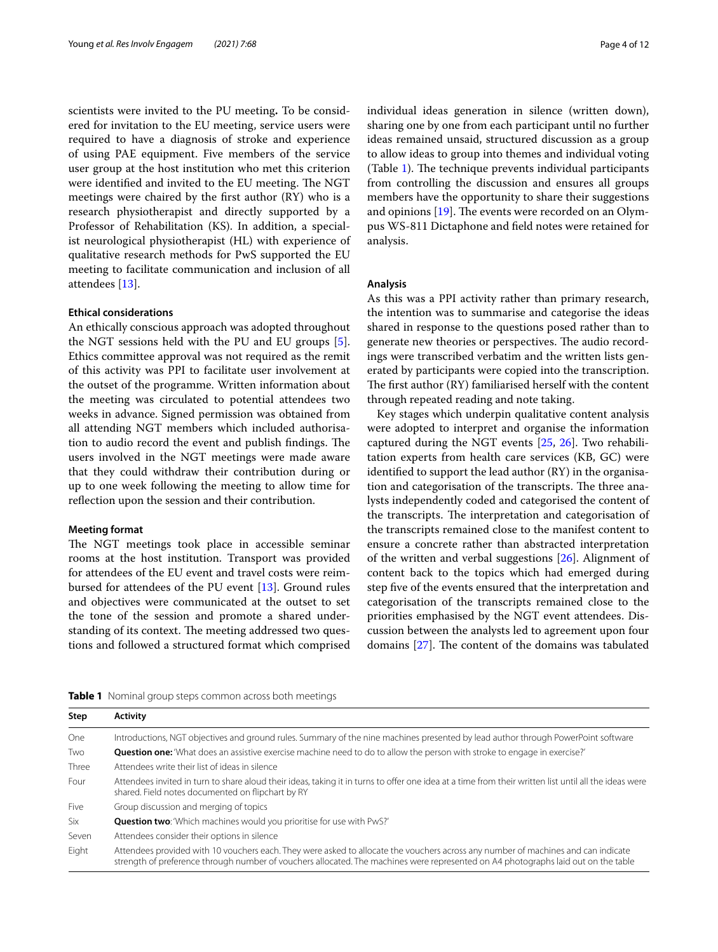scientists were invited to the PU meeting**.** To be considered for invitation to the EU meeting, service users were required to have a diagnosis of stroke and experience of using PAE equipment. Five members of the service user group at the host institution who met this criterion were identified and invited to the EU meeting. The NGT meetings were chaired by the frst author (RY) who is a research physiotherapist and directly supported by a Professor of Rehabilitation (KS). In addition, a specialist neurological physiotherapist (HL) with experience of qualitative research methods for PwS supported the EU meeting to facilitate communication and inclusion of all attendees [\[13\]](#page-10-12).

## **Ethical considerations**

An ethically conscious approach was adopted throughout the NGT sessions held with the PU and EU groups [\[5](#page-10-4)]. Ethics committee approval was not required as the remit of this activity was PPI to facilitate user involvement at the outset of the programme. Written information about the meeting was circulated to potential attendees two weeks in advance. Signed permission was obtained from all attending NGT members which included authorisation to audio record the event and publish findings. The users involved in the NGT meetings were made aware that they could withdraw their contribution during or up to one week following the meeting to allow time for refection upon the session and their contribution.

#### **Meeting format**

The NGT meetings took place in accessible seminar rooms at the host institution. Transport was provided for attendees of the EU event and travel costs were reimbursed for attendees of the PU event [[13\]](#page-10-12). Ground rules and objectives were communicated at the outset to set the tone of the session and promote a shared understanding of its context. The meeting addressed two questions and followed a structured format which comprised individual ideas generation in silence (written down), sharing one by one from each participant until no further ideas remained unsaid, structured discussion as a group to allow ideas to group into themes and individual voting (Table [1](#page-3-0)). The technique prevents individual participants from controlling the discussion and ensures all groups members have the opportunity to share their suggestions and opinions  $[19]$ . The events were recorded on an Olympus WS-811 Dictaphone and feld notes were retained for analysis.

#### **Analysis**

As this was a PPI activity rather than primary research, the intention was to summarise and categorise the ideas shared in response to the questions posed rather than to generate new theories or perspectives. The audio recordings were transcribed verbatim and the written lists generated by participants were copied into the transcription. The first author  $(RY)$  familiarised herself with the content through repeated reading and note taking.

Key stages which underpin qualitative content analysis were adopted to interpret and organise the information captured during the NGT events [[25,](#page-11-5) [26](#page-11-6)]. Two rehabilitation experts from health care services (KB, GC) were identifed to support the lead author (RY) in the organisation and categorisation of the transcripts. The three analysts independently coded and categorised the content of the transcripts. The interpretation and categorisation of the transcripts remained close to the manifest content to ensure a concrete rather than abstracted interpretation of the written and verbal suggestions [\[26\]](#page-11-6). Alignment of content back to the topics which had emerged during step fve of the events ensured that the interpretation and categorisation of the transcripts remained close to the priorities emphasised by the NGT event attendees. Discussion between the analysts led to agreement upon four domains  $[27]$  $[27]$ . The content of the domains was tabulated

<span id="page-3-0"></span>

|  |  |  |  |  |  |  | Table 1 Nominal group steps common across both meetings |
|--|--|--|--|--|--|--|---------------------------------------------------------|
|--|--|--|--|--|--|--|---------------------------------------------------------|

| Step  | <b>Activity</b>                                                                                                                                                                                                                                                         |
|-------|-------------------------------------------------------------------------------------------------------------------------------------------------------------------------------------------------------------------------------------------------------------------------|
| One   | Introductions, NGT objectives and ground rules. Summary of the nine machines presented by lead author through PowerPoint software                                                                                                                                       |
| Two   | <b>Question one:</b> 'What does an assistive exercise machine need to do to allow the person with stroke to engage in exercise?'                                                                                                                                        |
| Three | Attendees write their list of ideas in silence                                                                                                                                                                                                                          |
| Four  | Attendees invited in turn to share aloud their ideas, taking it in turns to offer one idea at a time from their written list until all the ideas were<br>shared. Field notes documented on flipchart by RY                                                              |
| Five  | Group discussion and merging of topics                                                                                                                                                                                                                                  |
| Six   | <b>Question two:</b> 'Which machines would you prioritise for use with PwS?'                                                                                                                                                                                            |
| Seven | Attendees consider their options in silence                                                                                                                                                                                                                             |
| Eight | Attendees provided with 10 vouchers each. They were asked to allocate the vouchers across any number of machines and can indicate<br>strength of preference through number of vouchers allocated. The machines were represented on A4 photographs laid out on the table |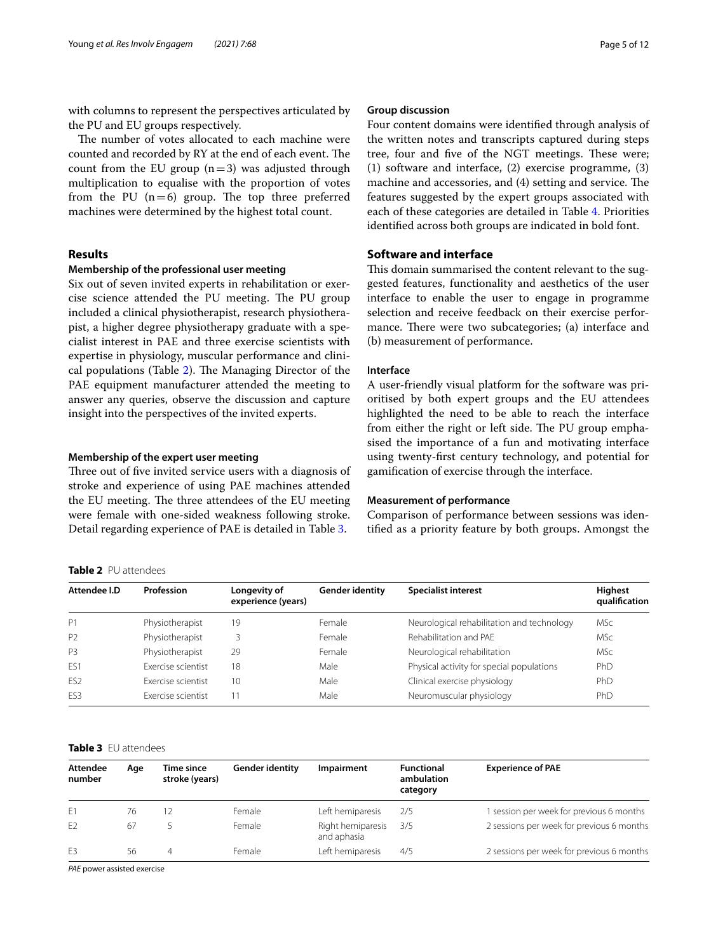with columns to represent the perspectives articulated by the PU and EU groups respectively.

The number of votes allocated to each machine were counted and recorded by RY at the end of each event. The count from the EU group  $(n=3)$  was adjusted through multiplication to equalise with the proportion of votes from the PU  $(n=6)$  group. The top three preferred machines were determined by the highest total count.

# **Results**

# **Membership of the professional user meeting**

Six out of seven invited experts in rehabilitation or exercise science attended the PU meeting. The PU group included a clinical physiotherapist, research physiotherapist, a higher degree physiotherapy graduate with a specialist interest in PAE and three exercise scientists with expertise in physiology, muscular performance and clini-cal populations (Table [2\)](#page-4-0). The Managing Director of the PAE equipment manufacturer attended the meeting to answer any queries, observe the discussion and capture insight into the perspectives of the invited experts.

#### **Membership of the expert user meeting**

Three out of five invited service users with a diagnosis of stroke and experience of using PAE machines attended the EU meeting. The three attendees of the EU meeting were female with one-sided weakness following stroke. Detail regarding experience of PAE is detailed in Table [3](#page-4-1).

# <span id="page-4-0"></span>**Table 2** PU attendees

#### **Group discussion**

Four content domains were identifed through analysis of the written notes and transcripts captured during steps tree, four and five of the NGT meetings. These were; (1) software and interface, (2) exercise programme, (3) machine and accessories, and (4) setting and service. The features suggested by the expert groups associated with each of these categories are detailed in Table [4.](#page-5-0) Priorities identifed across both groups are indicated in bold font.

# **Software and interface**

This domain summarised the content relevant to the suggested features, functionality and aesthetics of the user interface to enable the user to engage in programme selection and receive feedback on their exercise performance. There were two subcategories; (a) interface and (b) measurement of performance.

## **Interface**

A user-friendly visual platform for the software was prioritised by both expert groups and the EU attendees highlighted the need to be able to reach the interface from either the right or left side. The PU group emphasised the importance of a fun and motivating interface using twenty-frst century technology, and potential for gamifcation of exercise through the interface.

#### **Measurement of performance**

Comparison of performance between sessions was identifed as a priority feature by both groups. Amongst the

| Attendee I.D    | Profession         | Longevity of<br>experience (years) | Gender identity | <b>Specialist interest</b>                 | Highest<br>qualification |  |  |
|-----------------|--------------------|------------------------------------|-----------------|--------------------------------------------|--------------------------|--|--|
| P1              | Physiotherapist    | 19                                 | Female          | Neurological rehabilitation and technology | <b>MSc</b>               |  |  |
| P <sub>2</sub>  | Physiotherapist    |                                    | Female          | Rehabilitation and PAF                     | <b>MSc</b>               |  |  |
| P <sub>3</sub>  | Physiotherapist    | 29                                 | Female          | Neurological rehabilitation                | <b>MSc</b>               |  |  |
| ES1             | Exercise scientist | 18                                 | Male            | Physical activity for special populations  | PhD                      |  |  |
| ES <sub>2</sub> | Exercise scientist | 10                                 | Male            | Clinical exercise physiology               | PhD                      |  |  |
| ES <sub>3</sub> | Exercise scientist | 11                                 | Male            | Neuromuscular physiology                   | PhD                      |  |  |

#### <span id="page-4-1"></span>**Table 3** EU attendees

| <b>Attendee</b><br>number | Age | Time since<br>stroke (years) | <b>Gender identity</b> | <b>Impairment</b>                | <b>Functional</b><br>ambulation<br>category | <b>Experience of PAE</b>                  |
|---------------------------|-----|------------------------------|------------------------|----------------------------------|---------------------------------------------|-------------------------------------------|
| F1                        | 76  |                              | Female                 | Left hemiparesis                 | 2/5                                         | session per week for previous 6 months    |
| F <sub>2</sub>            | 67  |                              | Female                 | Right hemiparesis<br>and aphasia | 3/5                                         | 2 sessions per week for previous 6 months |
| F <sub>3</sub>            | 56  | 4                            | Female                 | Left hemiparesis                 | 4/5                                         | 2 sessions per week for previous 6 months |
|                           |     |                              |                        |                                  |                                             |                                           |

*PAE* power assisted exercise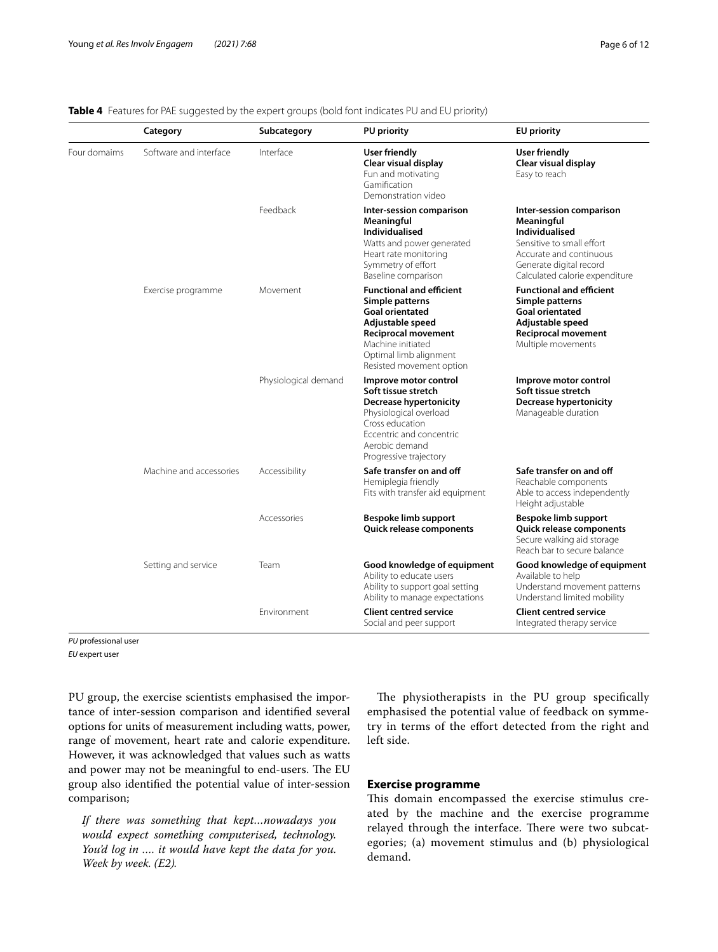# <span id="page-5-0"></span>**Table 4** Features for PAE suggested by the expert groups (bold font indicates PU and EU priority)

|              | Category                | Subcategory          | <b>PU priority</b>                                                                                                                                                                                        | <b>EU priority</b>                                                                                                                                                                   |
|--------------|-------------------------|----------------------|-----------------------------------------------------------------------------------------------------------------------------------------------------------------------------------------------------------|--------------------------------------------------------------------------------------------------------------------------------------------------------------------------------------|
| Four domaims | Software and interface  | Interface            | <b>User friendly</b><br>Clear visual display<br>Fun and motivating<br>Gamification<br>Demonstration video                                                                                                 | <b>User friendly</b><br>Clear visual display<br>Easy to reach                                                                                                                        |
|              |                         | Feedback             | Inter-session comparison<br>Meaningful<br><b>Individualised</b><br>Watts and power generated<br>Heart rate monitoring<br>Symmetry of effort<br>Baseline comparison                                        | Inter-session comparison<br>Meaningful<br><b>Individualised</b><br>Sensitive to small effort<br>Accurate and continuous<br>Generate digital record<br>Calculated calorie expenditure |
|              | Exercise programme      | Movement             | <b>Functional and efficient</b><br>Simple patterns<br><b>Goal orientated</b><br>Adjustable speed<br><b>Reciprocal movement</b><br>Machine initiated<br>Optimal limb alignment<br>Resisted movement option | <b>Functional and efficient</b><br>Simple patterns<br><b>Goal orientated</b><br>Adjustable speed<br><b>Reciprocal movement</b><br>Multiple movements                                 |
|              |                         | Physiological demand | Improve motor control<br>Soft tissue stretch<br><b>Decrease hypertonicity</b><br>Physiological overload<br>Cross education<br>Eccentric and concentric<br>Aerobic demand<br>Progressive trajectory        | Improve motor control<br>Soft tissue stretch<br><b>Decrease hypertonicity</b><br>Manageable duration                                                                                 |
|              | Machine and accessories | Accessibility        | Safe transfer on and off<br>Hemiplegia friendly<br>Fits with transfer aid equipment                                                                                                                       | Safe transfer on and off<br>Reachable components<br>Able to access independently<br>Height adjustable                                                                                |
|              |                         | Accessories          | Bespoke limb support<br>Quick release components                                                                                                                                                          | Bespoke limb support<br>Quick release components<br>Secure walking aid storage<br>Reach bar to secure balance                                                                        |
|              | Setting and service     | Team                 | Good knowledge of equipment<br>Ability to educate users<br>Ability to support goal setting<br>Ability to manage expectations                                                                              | Good knowledge of equipment<br>Available to help<br>Understand movement patterns<br>Understand limited mobility                                                                      |
|              |                         | Environment          | <b>Client centred service</b><br>Social and peer support                                                                                                                                                  | <b>Client centred service</b><br>Integrated therapy service                                                                                                                          |

*PU* professional user

*EU* expert user

PU group, the exercise scientists emphasised the importance of inter-session comparison and identifed several options for units of measurement including watts, power, range of movement, heart rate and calorie expenditure. However, it was acknowledged that values such as watts and power may not be meaningful to end-users. The EU group also identifed the potential value of inter-session comparison;

*If there was something that kept…nowadays you would expect something computerised, technology. You'd log in …. it would have kept the data for you. Week by week. (E2).*

The physiotherapists in the PU group specifically emphasised the potential value of feedback on symmetry in terms of the efort detected from the right and left side.

# **Exercise programme**

This domain encompassed the exercise stimulus created by the machine and the exercise programme relayed through the interface. There were two subcategories; (a) movement stimulus and (b) physiological demand.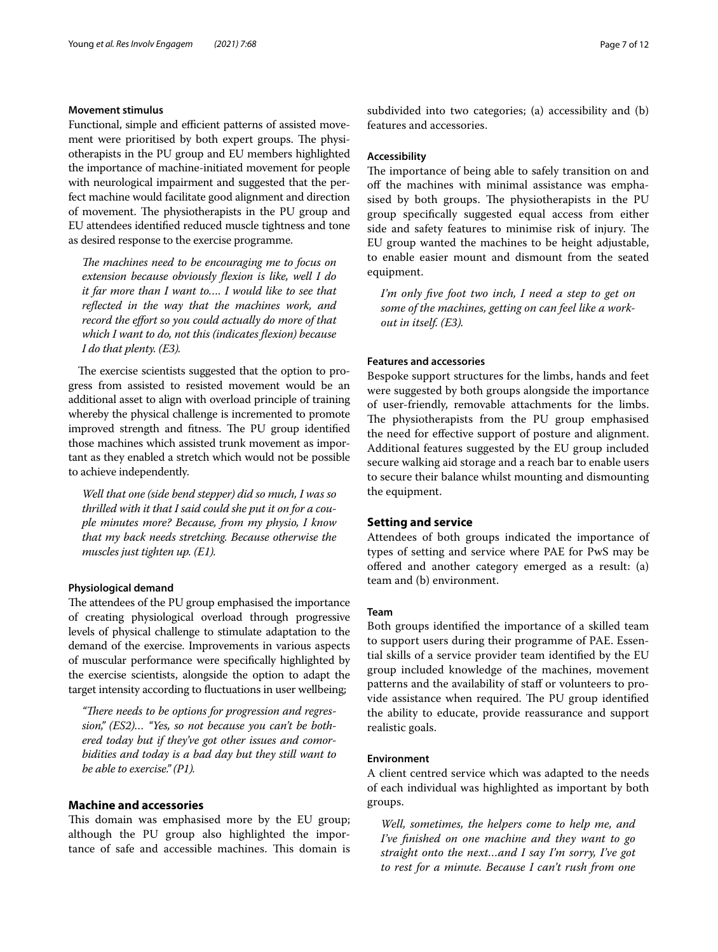#### **Movement stimulus**

Functional, simple and efficient patterns of assisted movement were prioritised by both expert groups. The physiotherapists in the PU group and EU members highlighted the importance of machine-initiated movement for people with neurological impairment and suggested that the perfect machine would facilitate good alignment and direction of movement. The physiotherapists in the PU group and EU attendees identifed reduced muscle tightness and tone as desired response to the exercise programme.

The machines need to be encouraging me to focus on *extension because obviously fexion is like, well I do it far more than I want to…. I would like to see that refected in the way that the machines work, and record the efort so you could actually do more of that which I want to do, not this (indicates fexion) because I do that plenty. (E3).*

The exercise scientists suggested that the option to progress from assisted to resisted movement would be an additional asset to align with overload principle of training whereby the physical challenge is incremented to promote improved strength and fitness. The PU group identified those machines which assisted trunk movement as important as they enabled a stretch which would not be possible to achieve independently.

*Well that one (side bend stepper) did so much, I was so thrilled with it that I said could she put it on for a couple minutes more? Because, from my physio, I know that my back needs stretching. Because otherwise the muscles just tighten up. (E1).*

# **Physiological demand**

The attendees of the PU group emphasised the importance of creating physiological overload through progressive levels of physical challenge to stimulate adaptation to the demand of the exercise. Improvements in various aspects of muscular performance were specifcally highlighted by the exercise scientists, alongside the option to adapt the target intensity according to fuctuations in user wellbeing;

"There needs to be options for progression and regres*sion," (ES2)… "Yes, so not because you can't be bothered today but if they've got other issues and comorbidities and today is a bad day but they still want to be able to exercise." (P1).*

# **Machine and accessories**

This domain was emphasised more by the EU group; although the PU group also highlighted the importance of safe and accessible machines. This domain is subdivided into two categories; (a) accessibility and (b) features and accessories.

# **Accessibility**

The importance of being able to safely transition on and off the machines with minimal assistance was emphasised by both groups. The physiotherapists in the PU group specifcally suggested equal access from either side and safety features to minimise risk of injury. The EU group wanted the machines to be height adjustable, to enable easier mount and dismount from the seated equipment.

*I'm only fve foot two inch, I need a step to get on some of the machines, getting on can feel like a workout in itself. (E3).*

# **Features and accessories**

Bespoke support structures for the limbs, hands and feet were suggested by both groups alongside the importance of user-friendly, removable attachments for the limbs. The physiotherapists from the PU group emphasised the need for efective support of posture and alignment. Additional features suggested by the EU group included secure walking aid storage and a reach bar to enable users to secure their balance whilst mounting and dismounting the equipment.

# **Setting and service**

Attendees of both groups indicated the importance of types of setting and service where PAE for PwS may be ofered and another category emerged as a result: (a) team and (b) environment.

#### **Team**

Both groups identifed the importance of a skilled team to support users during their programme of PAE. Essential skills of a service provider team identifed by the EU group included knowledge of the machines, movement patterns and the availability of staf or volunteers to provide assistance when required. The PU group identified the ability to educate, provide reassurance and support realistic goals.

#### **Environment**

A client centred service which was adapted to the needs of each individual was highlighted as important by both groups.

*Well, sometimes, the helpers come to help me, and I've fnished on one machine and they want to go straight onto the next…and I say I'm sorry, I've got to rest for a minute. Because I can't rush from one*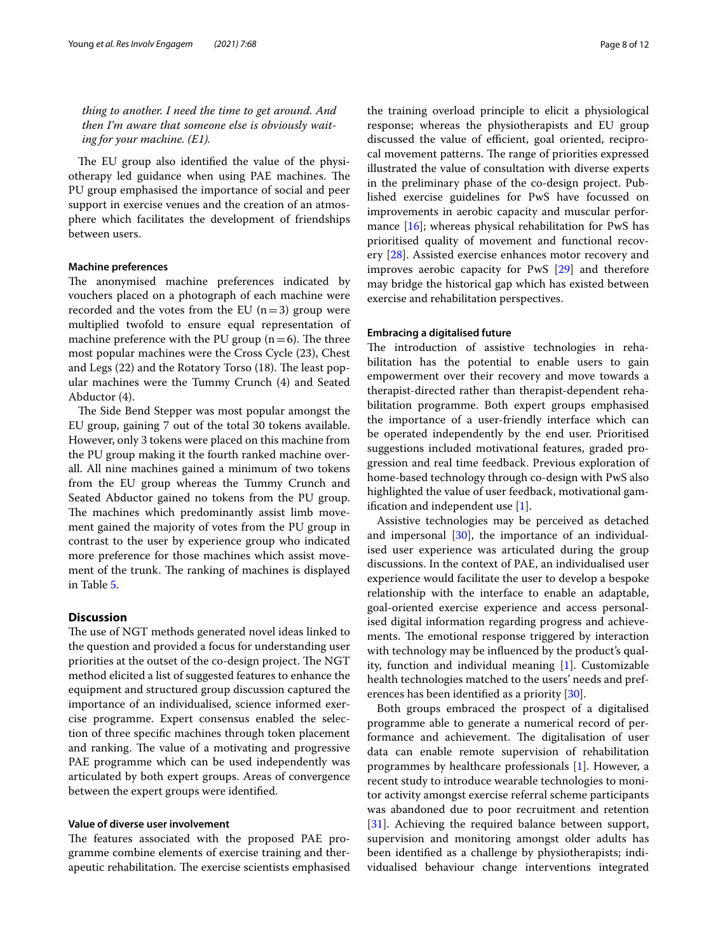*thing to another. I need the time to get around. And then I'm aware that someone else is obviously waiting for your machine. (E1).*

The EU group also identified the value of the physiotherapy led guidance when using PAE machines. The PU group emphasised the importance of social and peer support in exercise venues and the creation of an atmosphere which facilitates the development of friendships between users.

## **Machine preferences**

The anonymised machine preferences indicated by vouchers placed on a photograph of each machine were recorded and the votes from the EU  $(n=3)$  group were multiplied twofold to ensure equal representation of machine preference with the PU group  $(n=6)$ . The three most popular machines were the Cross Cycle (23), Chest and Legs (22) and the Rotatory Torso (18). The least popular machines were the Tummy Crunch (4) and Seated Abductor (4).

The Side Bend Stepper was most popular amongst the EU group, gaining 7 out of the total 30 tokens available. However, only 3 tokens were placed on this machine from the PU group making it the fourth ranked machine overall. All nine machines gained a minimum of two tokens from the EU group whereas the Tummy Crunch and Seated Abductor gained no tokens from the PU group. The machines which predominantly assist limb movement gained the majority of votes from the PU group in contrast to the user by experience group who indicated more preference for those machines which assist movement of the trunk. The ranking of machines is displayed in Table [5](#page-8-0).

# **Discussion**

The use of NGT methods generated novel ideas linked to the question and provided a focus for understanding user priorities at the outset of the co-design project. The NGT method elicited a list of suggested features to enhance the equipment and structured group discussion captured the importance of an individualised, science informed exercise programme. Expert consensus enabled the selection of three specifc machines through token placement and ranking. The value of a motivating and progressive PAE programme which can be used independently was articulated by both expert groups. Areas of convergence between the expert groups were identifed.

## **Value of diverse user involvement**

The features associated with the proposed PAE programme combine elements of exercise training and therapeutic rehabilitation. The exercise scientists emphasised the training overload principle to elicit a physiological response; whereas the physiotherapists and EU group discussed the value of efficient, goal oriented, reciprocal movement patterns. The range of priorities expressed illustrated the value of consultation with diverse experts in the preliminary phase of the co-design project. Published exercise guidelines for PwS have focussed on improvements in aerobic capacity and muscular perfor-mance [\[16](#page-10-15)]; whereas physical rehabilitation for PwS has prioritised quality of movement and functional recovery [\[28\]](#page-11-8). Assisted exercise enhances motor recovery and improves aerobic capacity for PwS [\[29](#page-11-9)] and therefore may bridge the historical gap which has existed between exercise and rehabilitation perspectives.

# **Embracing a digitalised future**

The introduction of assistive technologies in rehabilitation has the potential to enable users to gain empowerment over their recovery and move towards a therapist-directed rather than therapist-dependent rehabilitation programme. Both expert groups emphasised the importance of a user-friendly interface which can be operated independently by the end user. Prioritised suggestions included motivational features, graded progression and real time feedback. Previous exploration of home-based technology through co-design with PwS also highlighted the value of user feedback, motivational gamifcation and independent use [[1\]](#page-10-0).

Assistive technologies may be perceived as detached and impersonal  $[30]$  $[30]$ , the importance of an individualised user experience was articulated during the group discussions. In the context of PAE, an individualised user experience would facilitate the user to develop a bespoke relationship with the interface to enable an adaptable, goal-oriented exercise experience and access personalised digital information regarding progress and achievements. The emotional response triggered by interaction with technology may be infuenced by the product's quality, function and individual meaning [[1\]](#page-10-0). Customizable health technologies matched to the users' needs and preferences has been identifed as a priority [\[30\]](#page-11-10).

Both groups embraced the prospect of a digitalised programme able to generate a numerical record of performance and achievement. The digitalisation of user data can enable remote supervision of rehabilitation programmes by healthcare professionals [[1\]](#page-10-0). However, a recent study to introduce wearable technologies to monitor activity amongst exercise referral scheme participants was abandoned due to poor recruitment and retention [[31\]](#page-11-11). Achieving the required balance between support, supervision and monitoring amongst older adults has been identifed as a challenge by physiotherapists; individualised behaviour change interventions integrated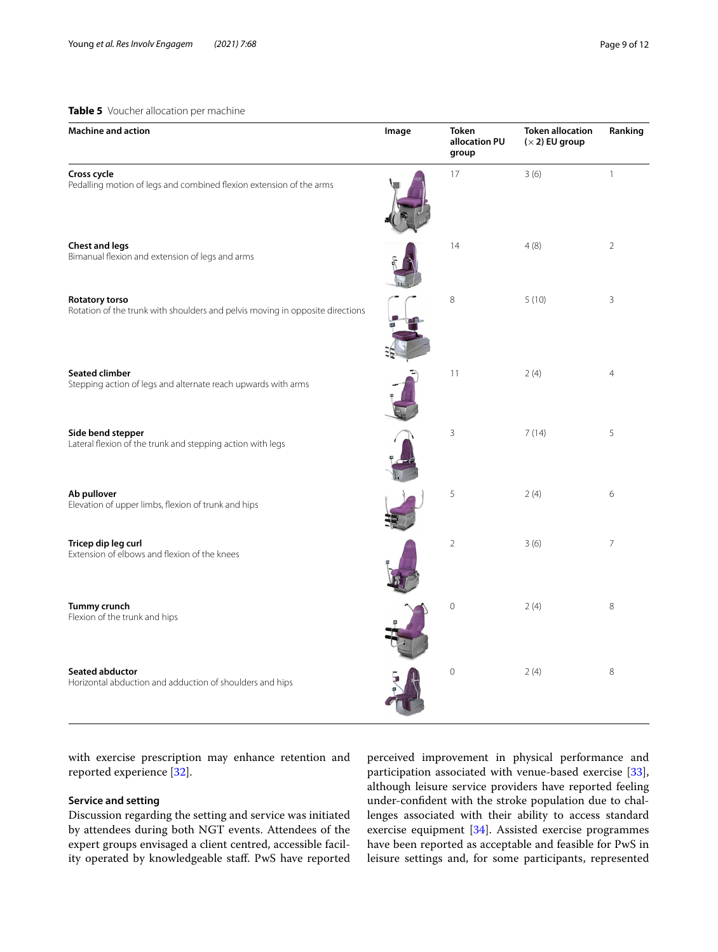# <span id="page-8-0"></span>**Table 5** Voucher allocation per machine

| <b>Machine and action</b>                                                                              | Image | <b>Token</b><br>allocation PU<br>group | <b>Token allocation</b><br>$(x 2)$ EU group | Ranking        |
|--------------------------------------------------------------------------------------------------------|-------|----------------------------------------|---------------------------------------------|----------------|
| Cross cycle<br>Pedalling motion of legs and combined flexion extension of the arms                     |       | 17                                     | 3(6)                                        | $\mathbf{1}$   |
| <b>Chest and legs</b><br>Bimanual flexion and extension of legs and arms                               |       | 14                                     | 4(8)                                        | $\overline{2}$ |
| <b>Rotatory torso</b><br>Rotation of the trunk with shoulders and pelvis moving in opposite directions |       | 8                                      | 5(10)                                       | 3              |
| <b>Seated climber</b><br>Stepping action of legs and alternate reach upwards with arms                 |       | 11                                     | 2(4)                                        | $\overline{4}$ |
| Side bend stepper<br>Lateral flexion of the trunk and stepping action with legs                        |       | $\mathsf 3$                            | 7(14)                                       | 5              |
| Ab pullover<br>Elevation of upper limbs, flexion of trunk and hips                                     |       | 5                                      | 2(4)                                        | 6              |
| Tricep dip leg curl<br>Extension of elbows and flexion of the knees                                    |       | $\overline{2}$                         | 3(6)                                        | $\overline{7}$ |
| Tummy crunch<br>Flexion of the trunk and hips                                                          |       | $\mathbf 0$                            | 2(4)                                        | 8              |
| Seated abductor<br>Horizontal abduction and adduction of shoulders and hips                            |       | $\mathbf 0$                            | 2(4)                                        | 8              |

with exercise prescription may enhance retention and reported experience [\[32](#page-11-12)].

# **Service and setting**

Discussion regarding the setting and service was initiated by attendees during both NGT events. Attendees of the expert groups envisaged a client centred, accessible facility operated by knowledgeable staf. PwS have reported perceived improvement in physical performance and participation associated with venue-based exercise [\[33](#page-11-13)], although leisure service providers have reported feeling under-confdent with the stroke population due to challenges associated with their ability to access standard exercise equipment [[34\]](#page-11-14). Assisted exercise programmes have been reported as acceptable and feasible for PwS in leisure settings and, for some participants, represented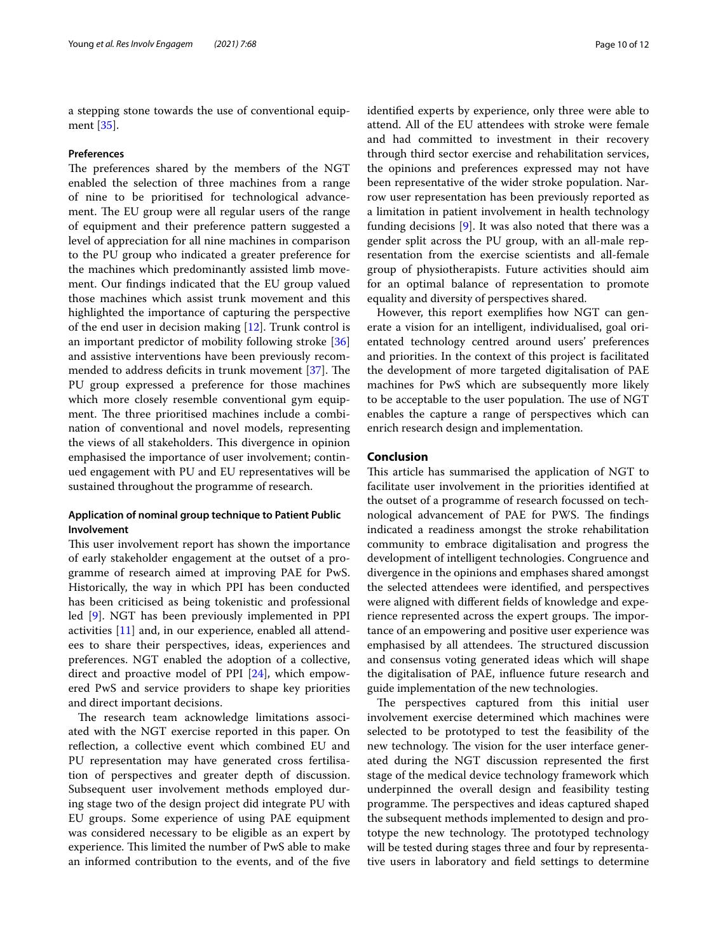a stepping stone towards the use of conventional equipment [\[35](#page-11-15)].

#### **Preferences**

The preferences shared by the members of the NGT enabled the selection of three machines from a range of nine to be prioritised for technological advancement. The EU group were all regular users of the range of equipment and their preference pattern suggested a level of appreciation for all nine machines in comparison to the PU group who indicated a greater preference for the machines which predominantly assisted limb movement. Our fndings indicated that the EU group valued those machines which assist trunk movement and this highlighted the importance of capturing the perspective of the end user in decision making [[12](#page-10-11)]. Trunk control is an important predictor of mobility following stroke [[36](#page-11-16)] and assistive interventions have been previously recom-mended to address deficits in trunk movement [[37\]](#page-11-17). The PU group expressed a preference for those machines which more closely resemble conventional gym equipment. The three prioritised machines include a combination of conventional and novel models, representing the views of all stakeholders. This divergence in opinion emphasised the importance of user involvement; continued engagement with PU and EU representatives will be sustained throughout the programme of research.

# **Application of nominal group technique to Patient Public Involvement**

This user involvement report has shown the importance of early stakeholder engagement at the outset of a programme of research aimed at improving PAE for PwS. Historically, the way in which PPI has been conducted has been criticised as being tokenistic and professional led [[9](#page-10-8)]. NGT has been previously implemented in PPI activities [\[11](#page-10-10)] and, in our experience, enabled all attendees to share their perspectives, ideas, experiences and preferences. NGT enabled the adoption of a collective, direct and proactive model of PPI [[24\]](#page-11-4), which empowered PwS and service providers to shape key priorities and direct important decisions.

The research team acknowledge limitations associated with the NGT exercise reported in this paper. On refection, a collective event which combined EU and PU representation may have generated cross fertilisation of perspectives and greater depth of discussion. Subsequent user involvement methods employed during stage two of the design project did integrate PU with EU groups. Some experience of using PAE equipment was considered necessary to be eligible as an expert by experience. This limited the number of PwS able to make an informed contribution to the events, and of the fve identifed experts by experience, only three were able to attend. All of the EU attendees with stroke were female and had committed to investment in their recovery through third sector exercise and rehabilitation services, the opinions and preferences expressed may not have been representative of the wider stroke population. Narrow user representation has been previously reported as a limitation in patient involvement in health technology funding decisions [\[9\]](#page-10-8). It was also noted that there was a gender split across the PU group, with an all-male representation from the exercise scientists and all-female group of physiotherapists. Future activities should aim for an optimal balance of representation to promote equality and diversity of perspectives shared.

However, this report exemplifes how NGT can generate a vision for an intelligent, individualised, goal orientated technology centred around users' preferences and priorities. In the context of this project is facilitated the development of more targeted digitalisation of PAE machines for PwS which are subsequently more likely to be acceptable to the user population. The use of NGT enables the capture a range of perspectives which can enrich research design and implementation.

#### **Conclusion**

This article has summarised the application of NGT to facilitate user involvement in the priorities identifed at the outset of a programme of research focussed on technological advancement of PAE for PWS. The findings indicated a readiness amongst the stroke rehabilitation community to embrace digitalisation and progress the development of intelligent technologies. Congruence and divergence in the opinions and emphases shared amongst the selected attendees were identifed, and perspectives were aligned with diferent felds of knowledge and experience represented across the expert groups. The importance of an empowering and positive user experience was emphasised by all attendees. The structured discussion and consensus voting generated ideas which will shape the digitalisation of PAE, infuence future research and guide implementation of the new technologies.

The perspectives captured from this initial user involvement exercise determined which machines were selected to be prototyped to test the feasibility of the new technology. The vision for the user interface generated during the NGT discussion represented the frst stage of the medical device technology framework which underpinned the overall design and feasibility testing programme. The perspectives and ideas captured shaped the subsequent methods implemented to design and prototype the new technology. The prototyped technology will be tested during stages three and four by representative users in laboratory and feld settings to determine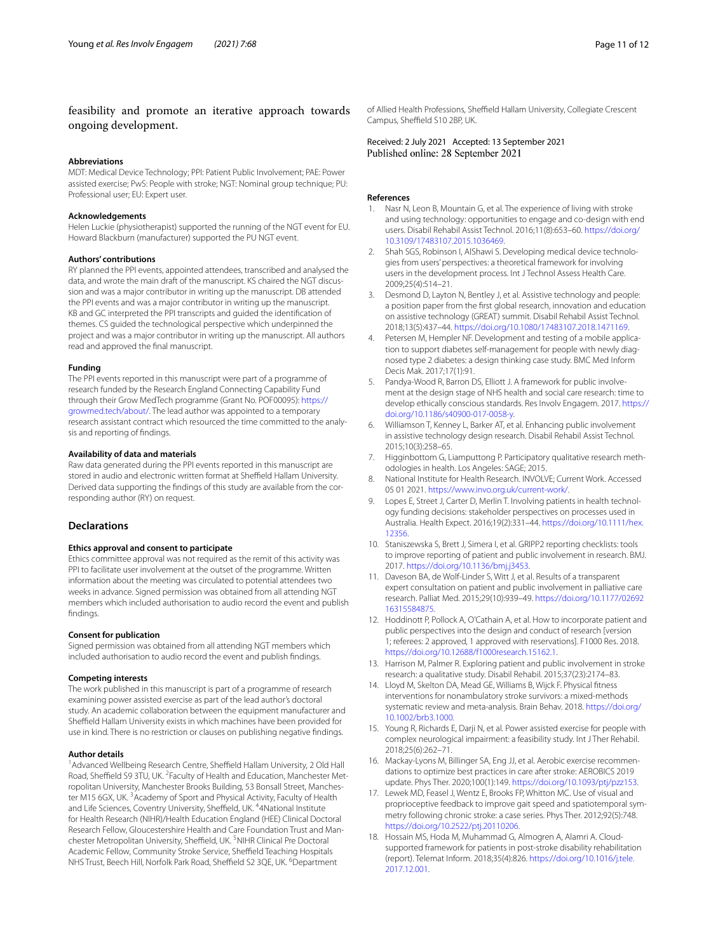# feasibility and promote an iterative approach towards ongoing development.

#### **Abbreviations**

MDT: Medical Device Technology; PPI: Patient Public Involvement; PAE: Power assisted exercise; PwS: People with stroke; NGT: Nominal group technique; PU: Professional user; EU: Expert user.

#### **Acknowledgements**

Helen Luckie (physiotherapist) supported the running of the NGT event for EU. Howard Blackburn (manufacturer) supported the PU NGT event.

#### **Authors' contributions**

RY planned the PPI events, appointed attendees, transcribed and analysed the data, and wrote the main draft of the manuscript. KS chaired the NGT discussion and was a major contributor in writing up the manuscript. DB attended the PPI events and was a major contributor in writing up the manuscript. KB and GC interpreted the PPI transcripts and guided the identifcation of themes. CS guided the technological perspective which underpinned the project and was a major contributor in writing up the manuscript. All authors read and approved the fnal manuscript.

#### **Funding**

The PPI events reported in this manuscript were part of a programme of research funded by the Research England Connecting Capability Fund through their Grow MedTech programme (Grant No. POF00095): [https://](https://growmed.tech/about/) [growmed.tech/about/.](https://growmed.tech/about/) The lead author was appointed to a temporary research assistant contract which resourced the time committed to the analysis and reporting of fndings.

#### **Availability of data and materials**

Raw data generated during the PPI events reported in this manuscript are stored in audio and electronic written format at Sheffield Hallam University. Derived data supporting the fndings of this study are available from the corresponding author (RY) on request.

#### **Declarations**

#### **Ethics approval and consent to participate**

Ethics committee approval was not required as the remit of this activity was PPI to facilitate user involvement at the outset of the programme. Written information about the meeting was circulated to potential attendees two weeks in advance. Signed permission was obtained from all attending NGT members which included authorisation to audio record the event and publish fndings.

#### **Consent for publication**

Signed permission was obtained from all attending NGT members which included authorisation to audio record the event and publish fndings.

## **Competing interests**

The work published in this manuscript is part of a programme of research examining power assisted exercise as part of the lead author's doctoral study. An academic collaboration between the equipment manufacturer and Sheffield Hallam University exists in which machines have been provided for use in kind. There is no restriction or clauses on publishing negative fndings.

#### **Author details**

<sup>1</sup> Advanced Wellbeing Research Centre, Sheffield Hallam University, 2 Old Hall Road, Sheffield S9 3TU, UK. <sup>2</sup> Faculty of Health and Education, Manchester Metropolitan University, Manchester Brooks Building, 53 Bonsall Street, Manchester M15 6GX, UK.<sup>3</sup> Academy of Sport and Physical Activity, Faculty of Health and Life Sciences, Coventry University, Sheffield, UK. <sup>4</sup>4National Institute for Health Research (NIHR)/Health Education England (HEE) Clinical Doctoral Research Fellow, Gloucestershire Health and Care Foundation Trust and Manchester Metropolitan University, Sheffield, UK. <sup>5</sup>NIHR Clinical Pre Doctoral Academic Fellow, Community Stroke Service, Sheffield Teaching Hospitals NHS Trust, Beech Hill, Norfolk Park Road, Sheffield S2 3QE, UK. <sup>6</sup>Department

of Allied Health Professions, Sheffield Hallam University, Collegiate Crescent Campus, Sheffield S10 2BP, UK.

Received: 2 July 2021 Accepted: 13 September 2021

#### **References**

- <span id="page-10-0"></span>1. Nasr N, Leon B, Mountain G, et al. The experience of living with stroke and using technology: opportunities to engage and co-design with end users. Disabil Rehabil Assist Technol. 2016;11(8):653–60. [https://doi.org/](https://doi.org/10.3109/17483107.2015.1036469) [10.3109/17483107.2015.1036469.](https://doi.org/10.3109/17483107.2015.1036469)
- <span id="page-10-1"></span>2. Shah SGS, Robinson I, AlShawi S. Developing medical device technologies from users' perspectives: a theoretical framework for involving users in the development process. Int J Technol Assess Health Care. 2009;25(4):514–21.
- <span id="page-10-2"></span>3. Desmond D, Layton N, Bentley J, et al. Assistive technology and people: a position paper from the frst global research, innovation and education on assistive technology (GREAT) summit. Disabil Rehabil Assist Technol. 2018;13(5):437–44. [https://doi.org/10.1080/17483107.2018.1471169.](https://doi.org/10.1080/17483107.2018.1471169)
- <span id="page-10-3"></span>4. Petersen M, Hempler NF. Development and testing of a mobile application to support diabetes self-management for people with newly diagnosed type 2 diabetes: a design thinking case study. BMC Med Inform Decis Mak. 2017;17(1):91.
- <span id="page-10-4"></span>5. Pandya-Wood R, Barron DS, Elliott J. A framework for public involvement at the design stage of NHS health and social care research: time to develop ethically conscious standards. Res Involv Engagem. 2017. [https://](https://doi.org/10.1186/s40900-017-0058-y) [doi.org/10.1186/s40900-017-0058-y.](https://doi.org/10.1186/s40900-017-0058-y)
- <span id="page-10-5"></span>6. Williamson T, Kenney L, Barker AT, et al. Enhancing public involvement in assistive technology design research. Disabil Rehabil Assist Technol. 2015;10(3):258–65.
- <span id="page-10-6"></span>7. Higginbottom G, Liamputtong P. Participatory qualitative research methodologies in health. Los Angeles: SAGE; 2015.
- <span id="page-10-7"></span>8. National Institute for Health Research. INVOLVE; Current Work. Accessed 05 01 2021.<https://www.invo.org.uk/current-work/>.
- <span id="page-10-8"></span>9. Lopes E, Street J, Carter D, Merlin T. Involving patients in health technology funding decisions: stakeholder perspectives on processes used in Australia. Health Expect. 2016;19(2):331–44. [https://doi.org/10.1111/hex.](https://doi.org/10.1111/hex.12356) [12356](https://doi.org/10.1111/hex.12356).
- <span id="page-10-9"></span>10. Staniszewska S, Brett J, Simera I, et al. GRIPP2 reporting checklists: tools to improve reporting of patient and public involvement in research. BMJ. 2017. [https://doi.org/10.1136/bmj.j3453.](https://doi.org/10.1136/bmj.j3453)
- <span id="page-10-10"></span>11. Daveson BA, de Wolf-Linder S, Witt J, et al. Results of a transparent expert consultation on patient and public involvement in palliative care research. Palliat Med. 2015;29(10):939–49. [https://doi.org/10.1177/02692](https://doi.org/10.1177/0269216315584875) [16315584875.](https://doi.org/10.1177/0269216315584875)
- <span id="page-10-11"></span>12. Hoddinott P, Pollock A, O'Cathain A, et al. How to incorporate patient and public perspectives into the design and conduct of research [version 1; referees: 2 approved, 1 approved with reservations]. F1000 Res. 2018. [https://doi.org/10.12688/f1000research.15162.1.](https://doi.org/10.12688/f1000research.15162.1)
- <span id="page-10-12"></span>13. Harrison M, Palmer R. Exploring patient and public involvement in stroke research: a qualitative study. Disabil Rehabil. 2015;37(23):2174–83.
- <span id="page-10-13"></span>14. Lloyd M, Skelton DA, Mead GE, Williams B, Wijck F. Physical ftness interventions for nonambulatory stroke survivors: a mixed-methods systematic review and meta-analysis. Brain Behav. 2018. [https://doi.org/](https://doi.org/10.1002/brb3.1000) [10.1002/brb3.1000.](https://doi.org/10.1002/brb3.1000)
- <span id="page-10-14"></span>15. Young R, Richards E, Darji N, et al. Power assisted exercise for people with complex neurological impairment: a feasibility study. Int J Ther Rehabil. 2018;25(6):262–71.
- <span id="page-10-15"></span>16. Mackay-Lyons M, Billinger SA, Eng JJ, et al. Aerobic exercise recommendations to optimize best practices in care after stroke: AEROBICS 2019 update. Phys Ther. 2020;100(1):149. [https://doi.org/10.1093/ptj/pzz153.](https://doi.org/10.1093/ptj/pzz153)
- <span id="page-10-16"></span>17. Lewek MD, Feasel J, Wentz E, Brooks FP, Whitton MC. Use of visual and proprioceptive feedback to improve gait speed and spatiotemporal symmetry following chronic stroke: a case series. Phys Ther. 2012;92(5):748. <https://doi.org/10.2522/ptj.20110206>.
- <span id="page-10-17"></span>18. Hossain MS, Hoda M, Muhammad G, Almogren A, Alamri A. Cloudsupported framework for patients in post-stroke disability rehabilitation (report). Telemat Inform. 2018;35(4):826. [https://doi.org/10.1016/j.tele.](https://doi.org/10.1016/j.tele.2017.12.001) [2017.12.001](https://doi.org/10.1016/j.tele.2017.12.001).